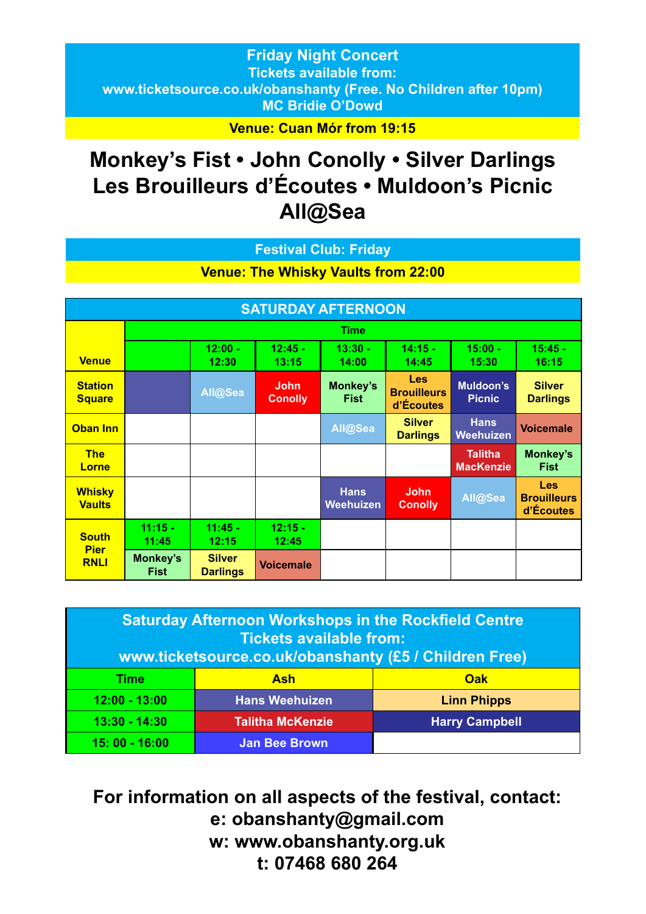## **Friday Night Concert Tickets available from: www.ticketsource.co.uk/obanshanty (Free. No Children after 10pm) MC Bridie O'Dowd**

**Venue: Cuan Mór from 19:15**

# **Monkey's Fist • John Conolly • Silver Darlings Les Brouilleurs d'Écoutes • Muldoon's Picnic All@Sea**

### **Festival Club: Friday**

## **Venue: The Whisky Vaults from 22:00**

| <b>SATURDAY AFTERNOON</b>       |                         |                                  |                               |                                 |                                        |                                    |                                        |
|---------------------------------|-------------------------|----------------------------------|-------------------------------|---------------------------------|----------------------------------------|------------------------------------|----------------------------------------|
|                                 | <b>Time</b>             |                                  |                               |                                 |                                        |                                    |                                        |
| <b>Venue</b>                    |                         | $12:00 -$<br>12:30               | $12:45 -$<br>13:15            | $13:30 -$<br>14:00              | $14:15 -$<br>14:45                     | $15:00 -$<br>15:30                 | $15:45 -$<br>16:15                     |
| <b>Station</b><br><b>Square</b> |                         | All@Sea                          | <b>John</b><br><b>Conolly</b> | Monkey's<br><b>Fist</b>         | Les<br><b>Brouilleurs</b><br>d'Écoutes | Muldoon's<br><b>Picnic</b>         | <b>Silver</b><br><b>Darlings</b>       |
| <b>Oban Inn</b>                 |                         |                                  |                               | All@Sea                         | <b>Silver</b><br><b>Darlings</b>       | <b>Hans</b><br><b>Weehuizen</b>    | <b>Voicemale</b>                       |
| <b>The</b><br>Lorne             |                         |                                  |                               |                                 |                                        | <b>Talitha</b><br><b>MacKenzie</b> | Monkey's<br><b>Fist</b>                |
| <b>Whisky</b><br><b>Vaults</b>  |                         |                                  |                               | <b>Hans</b><br><b>Weehuizen</b> | <b>John</b><br><b>Conolly</b>          | All@Sea                            | Les<br><b>Brouilleurs</b><br>d'Écoutes |
| <b>South</b><br><b>Pier</b>     | $11:15 -$<br>11:45      | $11:45 -$<br>12:15               | $12:15 -$<br>12:45            |                                 |                                        |                                    |                                        |
| <b>RNLI</b>                     | Monkey's<br><b>Fist</b> | <b>Silver</b><br><b>Darlings</b> | <b>Voicemale</b>              |                                 |                                        |                                    |                                        |

| <b>Saturday Afternoon Workshops in the Rockfield Centre</b><br><b>Tickets available from:</b><br>www.ticketsource.co.uk/obanshanty (£5 / Children Free) |                         |                       |  |
|---------------------------------------------------------------------------------------------------------------------------------------------------------|-------------------------|-----------------------|--|
| Time                                                                                                                                                    | Ash                     | Oak                   |  |
| $12:00 - 13:00$                                                                                                                                         | <b>Hans Weehuizen</b>   | <b>Linn Phipps</b>    |  |
| $13:30 - 14:30$                                                                                                                                         | <b>Talitha McKenzie</b> | <b>Harry Campbell</b> |  |
| $15:00 - 16:00$                                                                                                                                         | <b>Jan Bee Brown</b>    |                       |  |

**For information on all aspects of the festival, contact: e: obanshanty@gmail.com w: www.obanshanty.org.uk t: 07468 680 264**